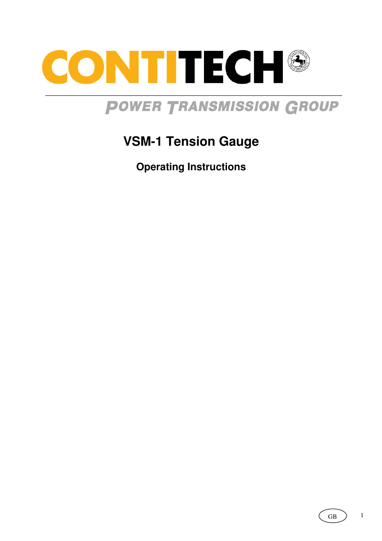

# **POWER TRANSMISSION GROUP**

## **VSM-1 Tension Gauge**

**Operating Instructions**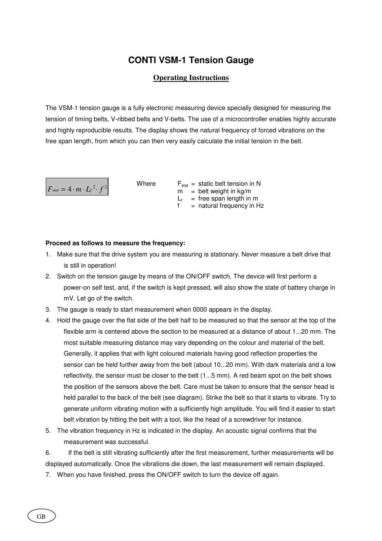### **CONTI VSM-1 Tension Gauge**

#### **Operating Instructions**

The VSM-1 tension gauge is a fully electronic measuring device specially designed for measuring the tension of timing belts, V-ribbed belts and V-belts. The use of a microcontroller enables highly accurate and highly reproducible results. The display shows the natural frequency of forced vibrations on the free span length, from which you can then very easily calculate the initial tension in the belt.



Where  $F_{stat}$  = static belt tension in N  $m =$  belt weight in kg/m  $L_f$  = free span length in m  $f =$  natural frequency in Hz

#### **Proceed as follows to measure the frequency:**

- 1. Make sure that the drive system you are measuring is stationary. Never measure a belt drive that is still in operation!
- 2. Switch on the tension gauge by means of the ON/OFF switch. The device will first perform a power-on self test, and, if the switch is kept pressed, will also show the state of battery charge in mV. Let go of the switch.
- 3. The gauge is ready to start measurement when 0000 appears in the display.
- 4. Hold the gauge over the flat side of the belt half to be measured so that the sensor at the top of the flexible arm is centered above the section to be measured at a distance of about 1...20 mm. The most suitable measuring distance may vary depending on the colour and material of the belt. Generally, it applies that with light coloured materials having good reflection properties the sensor can be held further away from the belt (about 10...20 mm). With dark materials and a low reflectivity, the sensor must be closer to the belt (1...5 mm). A red beam spot on the belt shows the position of the sensors above the belt. Care must be taken to ensure that the sensor head is held parallel to the back of the belt (see diagram). Strike the belt so that it starts to vibrate. Try to generate uniform vibrating motion with a sufficiently high amplitude. You will find it easier to start belt vibration by hitting the belt with a tool, like the head of a screwdriver for instance.
- 5. The vibration frequency in Hz is indicated in the display. An acoustic signal confirms that the measurement was successful.

6. If the belt is still vibrating sufficiently after the first measurement, further measurements will be displayed automatically. Once the vibrations die down, the last measurement will remain displayed.

7. When you have finished, press the ON/OFF switch to turn the device off again.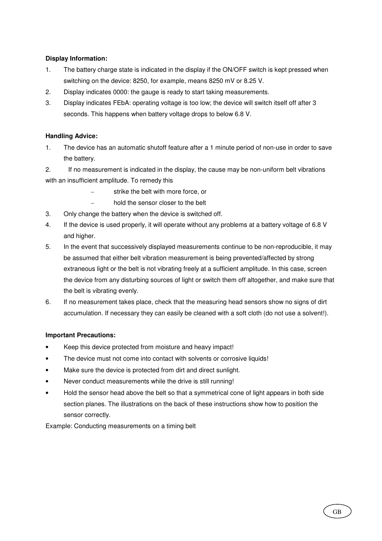#### **Display Information:**

- 1. The battery charge state is indicated in the display if the ON/OFF switch is kept pressed when switching on the device: 8250, for example, means 8250 mV or 8.25 V.
- 2. Display indicates 0000: the gauge is ready to start taking measurements.
- 3. Display indicates FEbA: operating voltage is too low; the device will switch itself off after 3 seconds. This happens when battery voltage drops to below 6.8 V.

#### **Handling Advice:**

1. The device has an automatic shutoff feature after a 1 minute period of non-use in order to save the battery.

2. If no measurement is indicated in the display, the cause may be non-uniform belt vibrations with an insufficient amplitude. To remedy this

- strike the belt with more force, or
- hold the sensor closer to the belt
- 3. Only change the battery when the device is switched off.
- 4. If the device is used properly, it will operate without any problems at a battery voltage of 6.8 V and higher.
- 5. In the event that successively displayed measurements continue to be non-reproducible, it may be assumed that either belt vibration measurement is being prevented/affected by strong extraneous light or the belt is not vibrating freely at a sufficient amplitude. In this case, screen the device from any disturbing sources of light or switch them off altogether, and make sure that the belt is vibrating evenly.
- 6. If no measurement takes place, check that the measuring head sensors show no signs of dirt accumulation. If necessary they can easily be cleaned with a soft cloth (do not use a solvent!).

#### **Important Precautions:**

- Keep this device protected from moisture and heavy impact!
- The device must not come into contact with solvents or corrosive liquids!
- Make sure the device is protected from dirt and direct sunlight.
- Never conduct measurements while the drive is still running!
- Hold the sensor head above the belt so that a symmetrical cone of light appears in both side section planes. The illustrations on the back of these instructions show how to position the sensor correctly.

Example: Conducting measurements on a timing belt